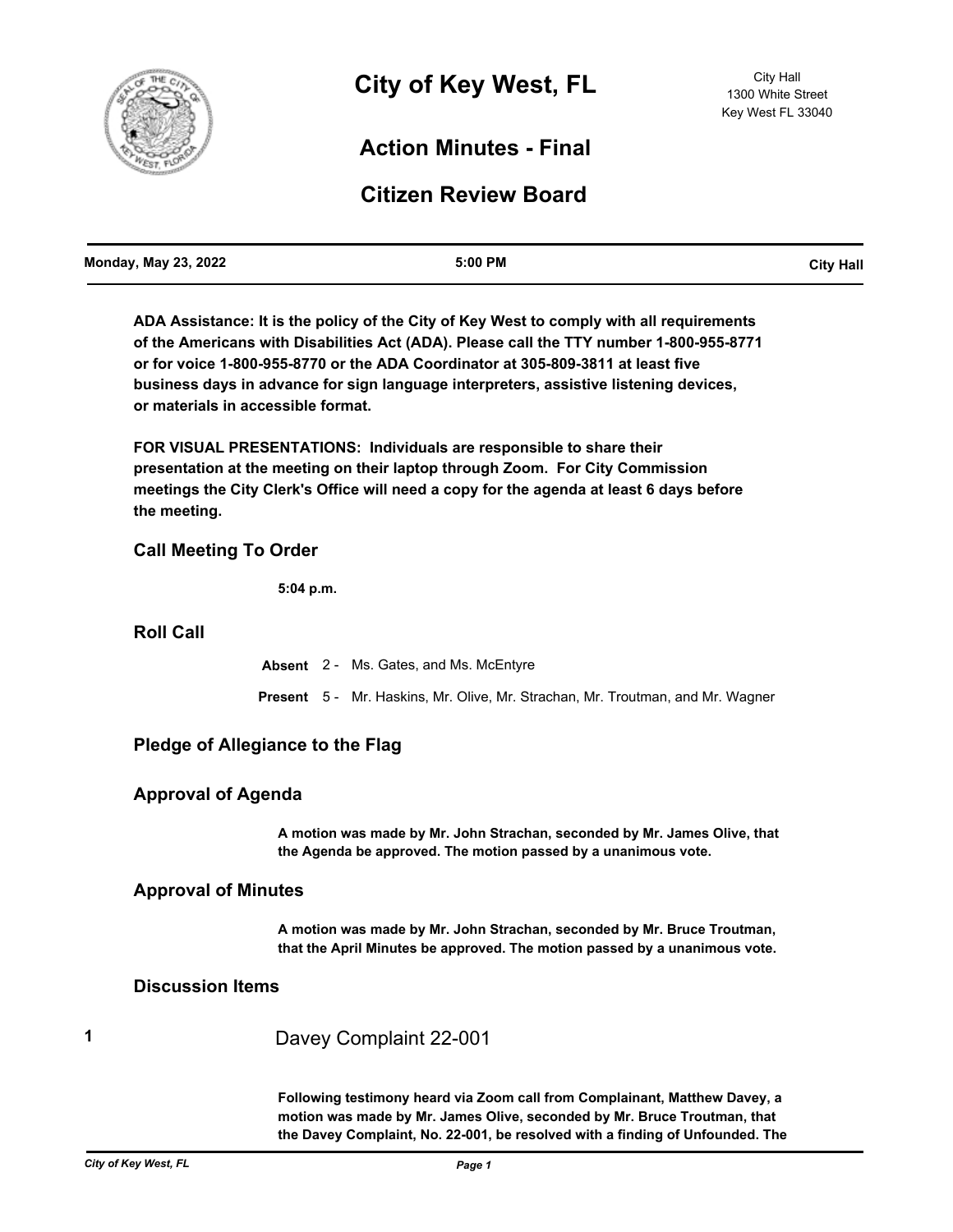

# **Action Minutes - Final**

# **Citizen Review Board**

| <b>Monday, May 23, 2022</b> | 5:00 PM | <b>City Hall</b> |
|-----------------------------|---------|------------------|
|                             |         |                  |

**ADA Assistance: It is the policy of the City of Key West to comply with all requirements of the Americans with Disabilities Act (ADA). Please call the TTY number 1-800-955-8771 or for voice 1-800-955-8770 or the ADA Coordinator at 305-809-3811 at least five business days in advance for sign language interpreters, assistive listening devices, or materials in accessible format.**

**FOR VISUAL PRESENTATIONS: Individuals are responsible to share their presentation at the meeting on their laptop through Zoom. For City Commission meetings the City Clerk's Office will need a copy for the agenda at least 6 days before the meeting.**

## **Call Meeting To Order**

**5:04 p.m.**

## **Roll Call**

**Absent** 2 - Ms. Gates, and Ms. McEntyre **Present** 5 - Mr. Haskins, Mr. Olive, Mr. Strachan, Mr. Troutman, and Mr. Wagner

## **Pledge of Allegiance to the Flag**

## **Approval of Agenda**

**A motion was made by Mr. John Strachan, seconded by Mr. James Olive, that the Agenda be approved. The motion passed by a unanimous vote.**

## **Approval of Minutes**

**A motion was made by Mr. John Strachan, seconded by Mr. Bruce Troutman, that the April Minutes be approved. The motion passed by a unanimous vote.**

## **Discussion Items**

**1** Davey Complaint 22-001

**Following testimony heard via Zoom call from Complainant, Matthew Davey, a motion was made by Mr. James Olive, seconded by Mr. Bruce Troutman, that the Davey Complaint, No. 22-001, be resolved with a finding of Unfounded. The**